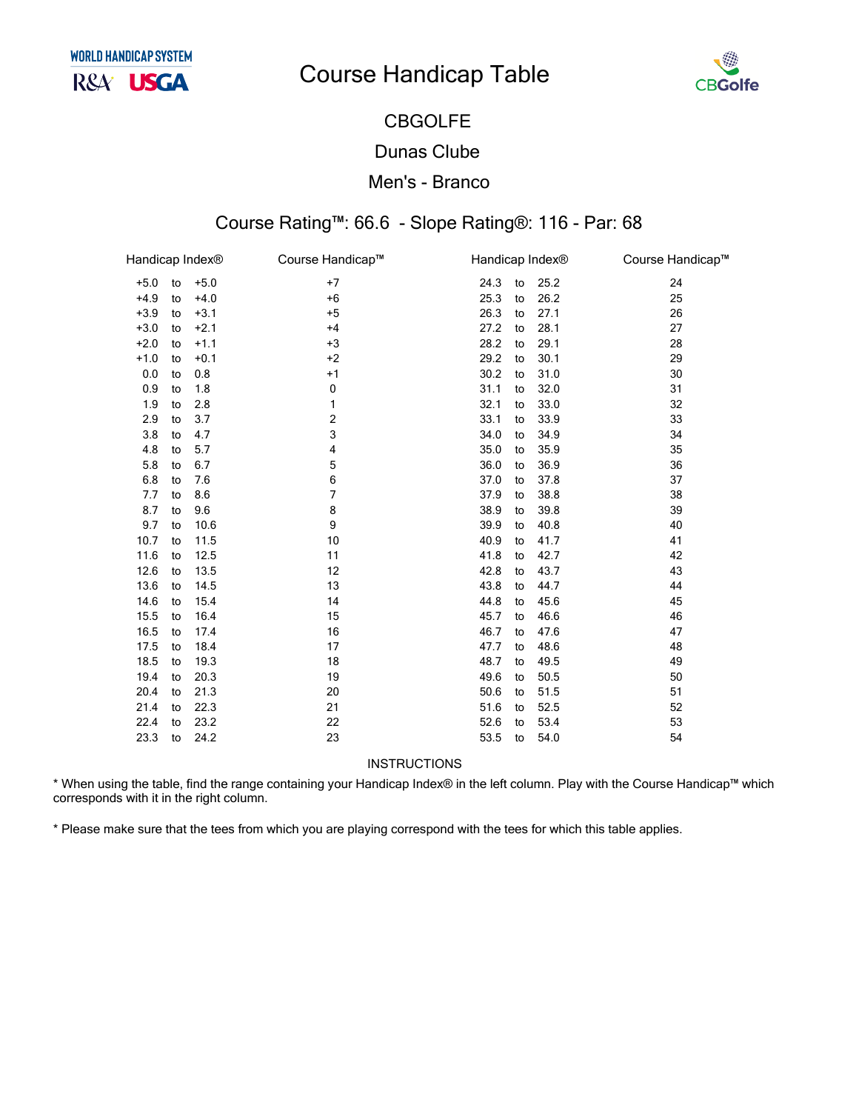# **Course Handicap Table**



## **CBGOLFE**

#### **Dunas Clube**

#### Men's - Branco

### Course Rating™: 66.6 - Slope Rating®: 116 - Par: 68

| Handicap Index® |    |        | Course Handicap™ | Handicap Index® |    |      | Course Handicap™ |
|-----------------|----|--------|------------------|-----------------|----|------|------------------|
| $+5.0$          | to | $+5.0$ | $+7$             | 24.3            | to | 25.2 | 24               |
| $+4.9$          | to | $+4.0$ | $+6$             | 25.3            | to | 26.2 | 25               |
| $+3.9$          | to | $+3.1$ | $+5$             | 26.3            | to | 27.1 | 26               |
| $+3.0$          | to | $+2.1$ | $+4$             | 27.2            | to | 28.1 | 27               |
| $+2.0$          | to | $+1.1$ | $+3$             | 28.2            | to | 29.1 | 28               |
| $+1.0$          | to | $+0.1$ | $+2$             | 29.2            | to | 30.1 | 29               |
| 0.0             | to | 0.8    | $+1$             | 30.2            | to | 31.0 | 30               |
| 0.9             | to | 1.8    | 0                | 31.1            | to | 32.0 | 31               |
| 1.9             | to | 2.8    | 1                | 32.1            | to | 33.0 | 32               |
| 2.9             | to | 3.7    | $\overline{c}$   | 33.1            | to | 33.9 | 33               |
| 3.8             | to | 4.7    | 3                | 34.0            | to | 34.9 | 34               |
| 4.8             | to | 5.7    | 4                | 35.0            | to | 35.9 | 35               |
| 5.8             | to | 6.7    | 5                | 36.0            | to | 36.9 | 36               |
| 6.8             | to | 7.6    | 6                | 37.0            | to | 37.8 | 37               |
| 7.7             | to | 8.6    | 7                | 37.9            | to | 38.8 | 38               |
| 8.7             | to | 9.6    | 8                | 38.9            | to | 39.8 | 39               |
| 9.7             | to | 10.6   | 9                | 39.9            | to | 40.8 | 40               |
| 10.7            | to | 11.5   | 10               | 40.9            | to | 41.7 | 41               |
| 11.6            | to | 12.5   | 11               | 41.8            | to | 42.7 | 42               |
| 12.6            | to | 13.5   | 12               | 42.8            | to | 43.7 | 43               |
| 13.6            | to | 14.5   | 13               | 43.8            | to | 44.7 | 44               |
| 14.6            | to | 15.4   | 14               | 44.8            | to | 45.6 | 45               |
| 15.5            | to | 16.4   | 15               | 45.7            | to | 46.6 | 46               |
| 16.5            | to | 17.4   | 16               | 46.7            | to | 47.6 | 47               |
| 17.5            | to | 18.4   | 17               | 47.7            | to | 48.6 | 48               |
| 18.5            | to | 19.3   | 18               | 48.7            | to | 49.5 | 49               |
| 19.4            | to | 20.3   | 19               | 49.6            | to | 50.5 | 50               |
| 20.4            | to | 21.3   | 20               | 50.6            | to | 51.5 | 51               |
| 21.4            | to | 22.3   | 21               | 51.6            | to | 52.5 | 52               |
| 22.4            | to | 23.2   | 22               | 52.6            | to | 53.4 | 53               |
| 23.3            | to | 24.2   | 23               | 53.5            | to | 54.0 | 54               |
|                 |    |        |                  |                 |    |      |                  |

INSTRUCTIONS

\* When using the table, find the range containing your Handicap Index® in the left column. Play with the Course Handicap™ which corresponds with it in the right column.

\* Please make sure that the tees from which you are playing correspond with the tees for which this table applies.